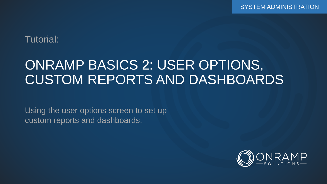### Tutorial:

# ONRAMP BASICS 2: USER OPTIONS, CUSTOM REPORTS AND DASHBOARDS

Using the user options screen to set up custom reports and dashboards.

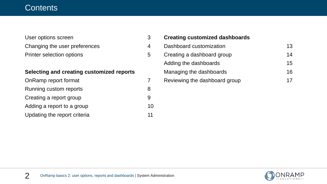#### **Contents**

| User options screen              |   |
|----------------------------------|---|
| Changing the user preferences    |   |
| <b>Printer selection options</b> | 5 |

#### **Selecting and creating customized reports**

| OnRamp report format         |    |
|------------------------------|----|
| Running custom reports       | 8  |
| Creating a report group      | 9  |
| Adding a report to a group   | 10 |
| Updating the report criteria | 11 |

| <b>Creating customized dashboards</b> |    |
|---------------------------------------|----|
| Dashboard customization               | 13 |
| Creating a dashboard group            | 14 |
| Adding the dashboards                 | 15 |
| Managing the dashboards               | 16 |
| Reviewing the dashboard group         |    |

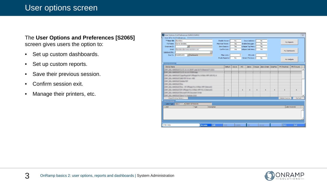#### User options screen

#### The **User Options and Preferences [S2065]**  screen gives users the option to:

- Set up custom dashboards.
- Set up custom reports.
- Save their previous session.
- Confirm session exit.
- Manage their printers, etc.

| User Options And Preferences [S2065] [S2065]                                                                       |                                                    |                  |                 |           |              |                     |              |              |              |                 |                | $\overline{\mathbb{Z}}$ |
|--------------------------------------------------------------------------------------------------------------------|----------------------------------------------------|------------------|-----------------|-----------|--------------|---------------------|--------------|--------------|--------------|-----------------|----------------|-------------------------|
| User Info And Preferences                                                                                          |                                                    |                  |                 |           |              |                     |              |              |              |                 |                |                         |
| **User ID: dbardsley                                                                                               |                                                    |                  | Disable Viewer: | <b>No</b> |              | Issue Updates:      |              | No           |              | My Reports      |                |                         |
| Full Name: Darren Bardslev                                                                                         |                                                    | Maximize Viewer: |                 | Yes       |              | Enable Debugger:    |              | No           |              |                 |                |                         |
| $\vert$<br>Employee ID:                                                                                            |                                                    | Save Session:    |                 | Yes       |              | Collapse Top Menu:  |              | Yes          |              |                 |                |                         |
| Email:<br>a bite discourse adulters can                                                                            |                                                    |                  | Confirm Exit:   | Yes       |              | Collapse Side Menu: |              | Yes          |              | My Dashboards   |                |                         |
| Signature File.:                                                                                                   |                                                    |                  |                 |           |              |                     |              |              |              |                 |                |                         |
| Start In: DASHBOARD                                                                                                | Dashboards                                         |                  | Filter Limit:   |           | 0            | PO Limit:           |              | o            |              |                 |                |                         |
|                                                                                                                    |                                                    | Shade Reports:   |                 | <b>No</b> |              | Screen Previews:    |              | <b>No</b>    |              | My Gadgets      |                |                         |
|                                                                                                                    |                                                    |                  |                 |           |              |                     |              |              |              |                 |                |                         |
| User Devices                                                                                                       |                                                    |                  |                 |           |              |                     |              |              |              |                 |                |                         |
| $\neg$ Device Name                                                                                                 |                                                    |                  | Default         | Active    | <b>WO</b>    | Zebra               | Cheque       | Zebra Green  | DataMax      | PM (Machine)    | PM (Fixture)   | $\blacktriangle$        |
| (MF, 28), 64405, FT(1)70, St, St, 2014 Lase Sc Frebasona F1203x<br><b>MAY 1981</b> - Allen<br><b>PL. M. M. PVM</b> |                                                    |                  |                 |           |              |                     |              |              |              |                 |                |                         |
|                                                                                                                    | lase/hop.bls# (Museum) is bichuts 1899 (JPE-PC), & |                  |                 |           |              |                     |              |              |              |                 |                |                         |
| SUPERINTENDENT CORNER LINES                                                                                        |                                                    |                  |                 |           |              |                     |              |              |              |                 |                |                         |
| LETANIA RF                                                                                                         |                                                    |                  |                 |           |              |                     |              |              |              |                 |                |                         |
|                                                                                                                    |                                                    |                  |                 |           |              |                     |              |              |              |                 |                |                         |
|                                                                                                                    | Officerative Intitiate HPF Dark                    |                  |                 |           |              |                     |              |              |              |                 |                |                         |
|                                                                                                                    | appt Pro 1476(b) 1877 P.C. & Dartmorti             |                  | $\mathbf{x}$    |           | $\mathbf{x}$ | $\mathbf{x}$        | $\mathbf{x}$ | $\mathbf{x}$ | $\mathbf{x}$ | $\mathbf{x}$    | $\mathbf{x}$   |                         |
| LE Décauf 195 Document 10186                                                                                       |                                                    |                  |                 |           |              |                     |              |              |              |                 |                |                         |
| <b>AMOUNTDAY To Draftore 2018</b>                                                                                  |                                                    |                  |                 |           |              |                     |              |              |              |                 |                | ٠                       |
| Cloud Printing History                                                                                             |                                                    |                  |                 |           |              |                     |              |              |              | Delete Inactive | Refresh        |                         |
| Device Detail                                                                                                      |                                                    |                  |                 |           |              |                     |              |              |              |                 |                |                         |
| Select All Records<br>Label Type: <all></all>                                                                      |                                                    |                  |                 |           |              |                     |              |              |              |                 |                |                         |
| -Label                                                                                                             | Type<br><b>Description</b>                         |                  |                 |           |              |                     |              |              |              |                 | Label Override |                         |
|                                                                                                                    |                                                    |                  |                 |           |              |                     |              |              |              |                 |                |                         |
|                                                                                                                    |                                                    |                  |                 |           |              |                     |              |              |              |                 |                |                         |
|                                                                                                                    |                                                    |                  |                 |           |              |                     |              |              |              |                 |                |                         |
|                                                                                                                    |                                                    |                  |                 |           |              |                     |              |              |              |                 |                |                         |
|                                                                                                                    |                                                    |                  |                 |           |              |                     |              |              |              |                 |                |                         |
| F1 for Help                                                                                                        | Edit<br><b>Browse</b>                              |                  | Add             | Delete    |              | OK                  |              | Cancel       |              | Print           | Exit           |                         |

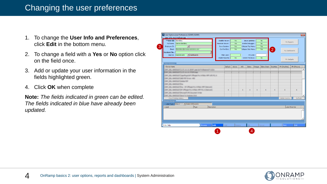### Changing the user preferences

- 1. To change the **User Info and Preferences**, click **Edit** in the bottom menu.
- 2. To change a field with a **Yes** or **No** option click on the field once.
- 3. Add or update your user information in the fields highlighted green.
- 4. Click **OK** when complete

**Note:** *The fields indicated in green can be edited. The fields indicated in blue have already been updated.*

| User Options And Preferences [S2065] [S2065]<br>- User Info And Preferences - |               |             |                  |                 |            |              |                             |              |              |                |                 |                |
|-------------------------------------------------------------------------------|---------------|-------------|------------------|-----------------|------------|--------------|-----------------------------|--------------|--------------|----------------|-----------------|----------------|
| **User ID: dbardsley                                                          |               |             |                  | Disable Viewer: |            |              |                             |              |              |                |                 |                |
|                                                                               |               |             |                  |                 | <b>No</b>  |              | Issue Updates:              |              | <b>No</b>    |                | My Reports      |                |
| Full Name: Darren Bardsley                                                    |               |             | Maximize Viewer: |                 | <b>Yes</b> |              | Enable Debugger:            |              | <b>No</b>    |                |                 |                |
| $\vert \cdot \vert$<br>Employee ID:                                           |               |             |                  | Save Session:   | Yes        |              | Collapse Top Menu:          |              | <b>Yes</b>   |                |                 |                |
| Email:<br>discovered with them, can                                           |               |             |                  | Confirm Exit:   | <b>Yes</b> |              | Collapse Side Menu:         |              | Yes          | $\overline{2}$ | My Dashboards   |                |
| Signature File.:                                                              |               |             |                  |                 |            |              |                             |              |              |                |                 |                |
| Start In: DASHBOARD<br>Dashboards                                             |               |             |                  | Filter Limit:   |            | $\mathbf{0}$ | PO Limit:                   |              | $\mathbf{0}$ |                |                 |                |
|                                                                               |               |             |                  | Shade Reports:  | No.        |              | Screen Previews:            |              | <b>No</b>    |                | My Gadgets      |                |
| <b>User Devices</b>                                                           |               |             |                  |                 |            |              |                             |              |              |                |                 |                |
| -Device Name                                                                  |               |             |                  | Default         | Active     | <b>WO</b>    | Zebra                       | Cheque       | Zebra Green  | DataMax        | PM (Machine)    | PM (Fixture)   |
| THE USL AND SURFICUTS IN IN 2014 Law by Furbane at FUES.                      |               |             |                  |                 |            |              |                             |              |              |                |                 |                |
| <b>WE DEL BAROLETILITI A A FROM</b>                                           |               |             |                  |                 |            |              |                             |              |              |                |                 |                |
| AMOS ET (applica 24 Officer Inc 1450), MF (AS 10), E                          |               |             |                  |                 |            |              |                             |              |              |                |                 |                |
| (MF_28), distributional PDF Driver (HD)                                       |               |             |                  |                 |            |              |                             |              |              |                |                 |                |
| TAY JR., ANTIS FOUND TOP                                                      |               |             |                  |                 |            |              |                             |              |              |                |                 |                |
| THE TALL GARDEN FOR                                                           |               |             |                  |                 |            |              |                             |              |              |                |                 |                |
| (MF, 28), AMOS 2-7 pa. - MF CRusach a 1476ds 1877 Eastwald                    |               |             |                  |                 |            |              |                             |              |              |                |                 |                |
| (MF, 28), distribution college fra 1476b; NFF FC, 4 Danisari)                 |               |             |                  | $\mathbf{x}$    |            | $\mathbf{x}$ | $\mathbf{x}$                | $\mathbf{x}$ | $\mathbf{x}$ | $\mathbf{x}$   | $\mathbf{x}$    | $\mathbf{x}$   |
| (MF, 28), AMOS & Driving R. (PE Dasung C 10 lie)                              |               |             |                  |                 |            |              |                             |              |              |                |                 |                |
| (MF_26), 64405, F/2ard To Draftolk 2018.                                      |               |             |                  |                 |            |              |                             |              |              |                |                 |                |
| Cloud Printing History                                                        |               |             |                  |                 |            |              |                             |              |              |                | Delete Inactive | Refresh        |
| Device Detail                                                                 |               |             |                  |                 |            |              |                             |              |              |                |                 |                |
| Label Type: <all><br/>Select All Records</all>                                |               |             |                  |                 |            |              |                             |              |              |                |                 |                |
| $\blacktriangleright$ Label                                                   | Type          | Description |                  |                 |            |              |                             |              |              |                |                 | Label Override |
|                                                                               |               |             |                  |                 |            |              |                             |              |              |                |                 |                |
|                                                                               |               |             |                  |                 |            |              |                             |              |              |                |                 |                |
|                                                                               |               |             |                  |                 |            |              |                             |              |              |                |                 |                |
|                                                                               |               |             |                  |                 |            |              |                             |              |              |                |                 |                |
|                                                                               |               |             |                  |                 |            |              |                             |              |              |                |                 |                |
|                                                                               | <b>Browse</b> | Edit        |                  | Add             | Delete     |              | $\overline{\phantom{a}}$ OK |              | Cancel       |                | Print           | Exit           |
| F1 for Help                                                                   |               |             |                  |                 |            |              |                             |              |              |                |                 |                |

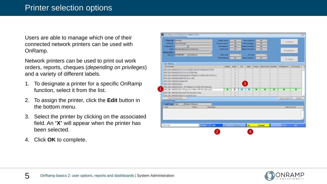Users are able to manage which one of their connected network printers can be used with OnRamp.

Network printers can be used to print out work orders, reports, cheques (*depending on privileges*) and a variety of different labels.

- 1. To designate a printer for a specific OnRamp function, select it from the list.
- 2. To assign the printer, click the **Edit** button in the bottom menu.
- 3. Select the printer by clicking on the associated field. An "**X**" will appear when the printer has been selected.
- 4. Click **OK** to complete.

| User Options And Preferences [S2065] [S2065]                        |               |                  |                         |                         |                         |                         |                         |                            |                         |                         |                         |
|---------------------------------------------------------------------|---------------|------------------|-------------------------|-------------------------|-------------------------|-------------------------|-------------------------|----------------------------|-------------------------|-------------------------|-------------------------|
| User Info And Preferences                                           |               |                  |                         |                         |                         |                         |                         |                            |                         |                         |                         |
| ** User ID: dbardsley                                               |               |                  | Disable Viewer:         | <b>No</b>               |                         | Issue Updates:          |                         | <b>No</b>                  |                         | My Reports              |                         |
| Full Name: Darren Bardsley                                          |               | Maximize Viewer: |                         | Yes                     |                         | Enable Debugger:        |                         | <b>No</b>                  |                         |                         |                         |
| $\overline{\phantom{a}}$<br>Employee ID:                            |               |                  | Save Session:           | Yes                     |                         | Collapse Top Menu:      |                         | <b>Yes</b>                 |                         |                         |                         |
| Email: dbardsley@onramp-solutions.com                               |               |                  | Confirm Exit:           | <b>Yes</b>              |                         | Collapse Side Menu:     |                         | Yes                        |                         | My Dashboards           |                         |
| Signature File.:                                                    |               |                  |                         |                         |                         |                         |                         |                            |                         |                         |                         |
| $\blacktriangleright$ Dashboards<br>Start In: DASHBOARD             |               |                  | Filter Limit:           |                         | $\mathbf{0}$            | PO Limit:               |                         | $\Omega$                   |                         |                         |                         |
|                                                                     |               |                  | Shade Reports:          | <b>No</b>               |                         | Screen Previews:        |                         | <b>No</b>                  |                         | My Gadgets              |                         |
| <b>User Devices</b>                                                 |               |                  |                         |                         |                         |                         |                         |                            |                         |                         |                         |
| Device Name                                                         |               |                  | Default                 | Active                  | <b>WO</b>               | Zebra                   |                         | Cheque Zebra Green DataMax |                         | PM (Machine)            | PM (Fixture)            |
| THE 281-646<br>NUMBER OF A REPORT OF A REPORT OF A REPORT OF A REAL |               |                  |                         | ٠                       |                         |                         |                         |                            |                         |                         |                         |
| THE 281 AMOUNTS US A STORING                                        |               |                  |                         | ٠                       |                         |                         |                         |                            |                         |                         |                         |
| (392 JB), 640352 ((applygable) (Phase) hu 1476b; NFF (AS FC, E      |               |                  |                         | ٠                       |                         |                         |                         |                            |                         |                         |                         |
| 2342 2812 4440 527 (485 PDF Driver 1455)                            |               |                  |                         | ٠                       |                         |                         |                         |                            |                         |                         |                         |
| TIRE DEL GARDEZ CASSA FOR                                           |               |                  |                         | ٠                       |                         |                         |                         |                            |                         |                         |                         |
| THE TRU BARTER FOW                                                  |               |                  |                         | ٠                       |                         | 3                       |                         |                            |                         |                         |                         |
| (M .M.; 6403/75 Par of Officer hy HStar MF Selved)                  |               |                  |                         |                         |                         |                         |                         |                            |                         |                         |                         |
| [ORP_DELL-BARDSLEY]HP Officejet Pro X476dw MFP PCL 6 (Network)      |               |                  | $\overline{\mathsf{x}}$ | $\overline{\mathsf{x}}$ | $\overline{\mathsf{x}}$ | $\overline{\mathsf{x}}$ | $\overline{\mathsf{x}}$ | $\overline{\mathsf{x}}$    | $\overline{\mathsf{x}}$ | $\overline{\mathsf{x}}$ | $\overline{\mathsf{x}}$ |
| 1997 J.W.; dolit/A.P.Dhiroach 975 Socurant 1974                     |               |                  |                         | ٠                       |                         |                         |                         |                            |                         |                         |                         |
| 1987 JAL: AMOSJF/Sand To Draftolk 2018                              |               |                  |                         |                         |                         |                         |                         |                            |                         |                         |                         |
| <b>Cloud Printing History</b>                                       |               |                  |                         |                         |                         |                         |                         |                            |                         | Delete Inactive         | Refresh                 |
| Device Detail                                                       |               |                  |                         |                         |                         |                         |                         |                            |                         |                         |                         |
| Label Type: <all><br/>Select All Records</all>                      |               |                  |                         |                         |                         |                         |                         |                            |                         |                         |                         |
| Type<br>-Label                                                      | Description   |                  |                         |                         |                         |                         |                         |                            |                         |                         | Label Override          |
|                                                                     |               |                  |                         |                         |                         |                         |                         |                            |                         |                         |                         |
|                                                                     |               |                  |                         |                         |                         |                         |                         |                            |                         |                         |                         |
|                                                                     |               |                  |                         |                         |                         |                         |                         |                            |                         |                         |                         |
|                                                                     |               |                  |                         |                         |                         |                         |                         |                            |                         |                         |                         |
|                                                                     |               |                  |                         |                         |                         |                         |                         |                            |                         |                         |                         |
|                                                                     |               |                  |                         |                         |                         |                         |                         |                            |                         |                         |                         |
| Fi for Help                                                         | <b>Browse</b> | Edit             | Add                     | <b>Delete</b>           |                         | OK                      |                         | <b>Cancel</b>              |                         | <b>Print</b>            | Exit                    |
|                                                                     |               |                  |                         |                         |                         |                         |                         |                            |                         |                         |                         |
|                                                                     |               |                  |                         |                         |                         |                         |                         |                            |                         |                         |                         |

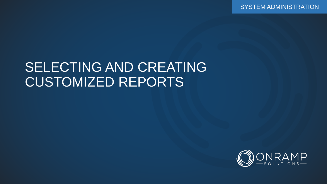SYSTEM ADMINISTRATION

## SELECTING AND CREATING CUSTOMIZED REPORTS

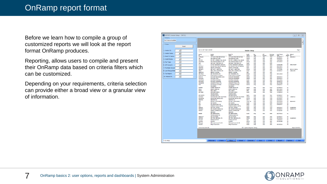Before we learn how to compile a group of customized reports we will look at the report format OnRamp produces.

Reporting, allows users to compile and present their OnRamp data based on criteria filters which can be customized.

Depending on your requirements, criteria selection can provide either a broad view or a granular view of information.

| REPORT: Vendor Setup - [R4721]         |                                    |                                                          |                                                              |                                     |                                  |                          |                |                     |                          |                          | $\Box$<br>$\qquad \qquad \Box$ |
|----------------------------------------|------------------------------------|----------------------------------------------------------|--------------------------------------------------------------|-------------------------------------|----------------------------------|--------------------------|----------------|---------------------|--------------------------|--------------------------|--------------------------------|
| Criteria<br>No Criteria Available      |                                    |                                                          |                                                              |                                     |                                  |                          |                |                     |                          |                          |                                |
| <b>Filters</b>                         |                                    |                                                          |                                                              |                                     |                                  |                          |                |                     |                          |                          |                                |
| Reset                                  |                                    |                                                          |                                                              |                                     |                                  |                          |                |                     |                          |                          |                                |
| 1. Vendor ID:<br>ᅬ                     | Jun 14, 2017 Wed 11:50 AM          |                                                          |                                                              |                                     | <b>Vendor Setup</b>              |                          |                |                     |                          |                          | Page 1                         |
| 2. Vendor Name:                        |                                    |                                                          |                                                              |                                     |                                  |                          |                |                     |                          |                          |                                |
| ᅬ                                      | Vendor<br>ID                       | Vendor<br>Name                                           | <b>Remit To</b><br>Name                                      |                                     | Credit<br>Terms                  | Pay<br>Type              | A/P<br>Account | Purchase<br>Account | Last Cheque<br>Dute      | Tax<br>Report<br>Federal |                                |
| 3. Remit To Name:<br>≛                 | <b>1STPLACE</b><br>2RI             | <b>1ST PLACE FIRE PROTECTION</b>                         | <b>1ST PLACE FIRE PROTECTION</b><br><b>2RI ROBOTICS CORP</b> |                                     | <b>NET60</b>                     | <b>CHO</b>               | 3201<br>3201   | 7510                | 05/30/2017               | No                       | 890220114                      |
| 4. Credit Terms:<br>ᅬ                  | <b>407 ETR</b>                     | 2RI ROBOTICS CORP<br><b>407 ETR - EXPRESS TOLL ROUTE</b> |                                                              | <b>407 ETR - EXPRESS TOLL ROUTE</b> | <b>NET60</b><br><b>NETO</b>      | CHQ<br>CHO               | 3201           | 7502<br>7654        | 02/06/2017<br>11/07/2016 | No<br>No                 |                                |
| 5. Pay Type:<br>ᅬ                      | <b>ASAMANUC</b>                    | A&A MANUFACURING CO INC.                                 | ASA MANUFACURING CO INC.                                     |                                     | <b>NET30</b>                     | QHO                      | 3202           | 7501                | 07/14/2014               | No                       |                                |
|                                        | A&M                                | <b>A&amp;M HEAT TREATING LTD</b>                         | <b>A&amp;M HEAT TREATING LTD</b>                             |                                     | Net30                            | CHO                      | 3201           | 9999                |                          | No                       |                                |
| 6. A/P Account:<br>▾                   | AT.S                               | <b>ACTIVE TRANSPORT SERVICES</b>                         |                                                              | <b>ACTIVE TRANSPORT SERVICES</b>    | <b>NET60</b>                     | <b>CHO</b>               | 3201           | 7044                | 03/09/2000               | No                       | 899614465RT                    |
| 7. Purchase Accoun                     | AAA HALT<br><b>ABANTOE</b>         | AAA HALTON TAXE OF OAKVILLE<br>ABANTO, EMMANUEL          | ABANTO, EMMANUEL                                             | AAA HALTON TAXI OF OAKVILLE         | <b>NETO</b><br><b>NETO</b>       | CHO<br>CHO               | 3201<br>3201   | 7654<br>7654        | 03/27/2017<br>03/02/2017 | No<br>No                 |                                |
| ᅬ                                      | <b>ARCNACO</b>                     | ABC NACO - NEPCO INC                                     | ARC NACO - NEPOD TNC.                                        |                                     | <b>NFT60</b>                     | CHO                      | 3202           | 1601                | 11/15/2001               | No.                      | FTN 42-1518416                 |
| $\mathbf{r}$<br>8. Last Cheque Date    | <b>ABELL</b>                       | ABELL PEST CONTROL INC                                   | ABELL PEST CONTROL INC                                       |                                     | Net30                            | <b>CHO</b>               | 3201           | 7510                | 03/20/2017               | No                       | 100012590                      |
|                                        | <b>ABRAMSM</b>                     | ABRAMS, MICHAEL                                          | ABRAMS, MICHAEL                                              |                                     | NetD                             | <b>CHO</b>               | 3201           | 1601                |                          | No                       |                                |
| 9. Tax Report:<br>ᅬ                    | <b>ABS MACH</b>                    | ABS MACHINING INC.                                       | ABS MACHINING INC.                                           |                                     | NET60                            | CHQ                      | 3201           | 7482                | 05/31/2010               | No                       |                                |
| $\vert \cdot \vert$<br>10. Federal ID: | <b>Access America</b>              | <b>Access America Transport</b>                          | <b>Access America Transport</b>                              |                                     | Net30                            | <b>CHO</b>               | 3201           | 1601                |                          | No                       |                                |
|                                        | <b>ACCU US</b><br><b>ACCUCAM</b>   | ACCUCAM MACHINING (USD)<br><b>ACCUCAM (CDN)</b>          | <b>ACCUCAM MACHINING</b><br>ACCUCAM MACHINING                |                                     | <b>NET60</b><br><b>NET60</b>     | <b>CHO</b><br>CHO        | 3202<br>3201   | 1601<br>1601        | 04/03/2017<br>04/03/2017 | No<br>No                 |                                |
|                                        | <b>ACCUTECH</b>                    | <b>ACCUTECH MACHINE</b>                                  | <b>ACCUTECH MACHINE</b>                                      |                                     | Net30                            | CHO                      | 3202           | 1601                | 07/11/2016               | No                       |                                |
|                                        | <b>ACKLANDS</b>                    | <b>ACKLANDS GRAINGER</b>                                 | <b>ACKLANDS GRAINGER</b>                                     |                                     | Net30                            | <b>CHO</b>               | 3201           | 7501                | 08/08/2016               | No                       |                                |
|                                        | <b>ACKURATE</b>                    | ACKURATE TOOLS LTD.                                      | <b>ACKURATE TOOLS LTD.</b>                                   |                                     | <b>NET60</b>                     | <b>CHO</b>               | 3201           | 1601                | 08/15/2006               | No                       |                                |
|                                        | <b>ACM</b>                         | <b>AUTOMATED CUTTING</b><br><b>MACHINERY</b>             | AUTOMATED CUTTING<br><b>MACHINERY</b>                        |                                     | <b>NET30</b>                     | CHQ                      | 3201           | 7501                | 03/06/2017               | No.                      |                                |
|                                        | <b>ACUREN</b>                      | <b>ACUREN GROUP INC</b>                                  | ACUREN GROUP INC                                             |                                     | <b>NET30</b>                     | <b>CHO</b>               | 3201           | 7419                | 01/28/2013               | No                       |                                |
|                                        | Adiam<br><b>ADILR</b>              | ADIAM LASER INC.<br><b>ADIL RAFAY</b>                    | ADIAM LASER INC.<br><b>ADIL RAFAY</b>                        |                                     | Net30<br><b>NetO</b>             | CHO<br><b>CHO</b>        | 3201<br>3201   | 1601<br>9999        | 05/11/2015<br>05/23/2013 | <b>No</b><br>No          |                                |
|                                        | <b>ADV SERV</b>                    | <b>ADVANCED SERVO</b>                                    | <b>ADVANCED SERVO</b>                                        |                                     | Net30                            | <b>CHO</b>               | 3201           | 7502                | 11/30/2015               | No                       |                                |
|                                        |                                    | <b>TECHNOLOGIES</b>                                      | <b>TECHNOLOGIES</b>                                          |                                     |                                  |                          |                |                     |                          |                          |                                |
|                                        | <b>ADV WASTE</b>                   | <b>ONTARIO WASTE</b>                                     | <b>ONTARIO WASTE</b>                                         |                                     | Net15                            | CHO                      | 3201           | 7461                | 03/20/2017               | <b>No</b>                |                                |
|                                        | <b>ADVANCE</b>                     | ADVANCE BAR CODE SOLUTIONS                               |                                                              | ADVANCE BAR CODE SOLUTIONS          | <b>NET60</b>                     | <b>CHO</b>               | 3201           | 7420                | 12/12/2016               | No                       | 139687632                      |
|                                        | <b>ADVANTAG</b>                    | <b>ADVANTAGE SPECIALTIES</b>                             | <b>ADVANTAGE SPECIALTIES</b>                                 |                                     | <b>NET30</b>                     | <b>CHO</b>               | 3201           | 7420                | 01/23/2017               | No                       |                                |
|                                        | <b>AEROTEK</b>                     | <b>AEROTEK ULC</b>                                       | <b>AEROTEK ULC</b>                                           |                                     | <b>NET15</b>                     | CHO                      | 3201           | 3520                | 03/25/2013               | No                       |                                |
|                                        | AFM<br>AGF                         | AFM INC. (CDN FUNDS)                                     | AFM INC. (CDN FUNDS)                                         |                                     | 29610, 30                        | CHQ                      | 3201<br>3201   | 7415<br>9999        | 03/22/2010               | No                       | 886444454                      |
|                                        | AGO                                | <b>AGF ACCESS</b><br>AGO INDUSTRIES INC                  | AGF ACCESS<br><b>AGO INDUSTRIES INC</b>                      |                                     | Net30<br>Net30                   | <b>CHO</b><br>CHO        | 3201           | 7421                | 02/22/2016<br>02/06/2017 | No<br>No                 |                                |
|                                        | <b>AIM</b>                         | AMERICAN IRON & METAL                                    | AMERICAN IRON & METAL                                        |                                     | Net30                            | CHO                      | 3201           | 7510                |                          | No                       |                                |
|                                        | <b>AIRKOOL</b>                     | <b>AIR KOOL LIMITED</b>                                  | AIR KOOL LIMITED                                             |                                     | Net30                            | <b>CHO</b>               | 3201           | 7510                | 04/03/2017               | No                       | R100093954                     |
|                                        | <b>AIRLIOUI</b>                    | AIR LIQUIDE CANADA INC                                   | AIR LIQUIDE CANADA INC                                       |                                     | Net <sub>50</sub>                | CHO                      | 3201           | 7402                | 03/29/2017               | No                       | R100767532                     |
|                                        | <b>AIRMAX</b>                      | <b>AIRMAX COMPRESSOR</b>                                 | <b>AIRMAX COMPRESSOR</b>                                     |                                     | NET60                            | CHQ                      | 3201           | 7501                | 07/30/2007               | <b>No</b>                |                                |
|                                        | <b>AIRSEP</b>                      | <b>SERVICES</b><br><b>AIR SEPRATATION</b>                | <b>SERVICES</b><br><b>AIR SEPRATATION</b>                    |                                     | Net30                            | <b>CHO</b>               | 3201           | 9999                | 06/27/2016               | No                       |                                |
|                                        |                                    | <b>TECHNOLOGIES INC</b>                                  | <b>TECHNOLOGIES INC</b>                                      |                                     |                                  |                          |                |                     |                          |                          |                                |
|                                        | <b>AIRSOLUT</b>                    | <b>AIR SOLUTIONS</b>                                     | AIR SOLUTIONS                                                |                                     | <b>NET60</b>                     | CHQ                      | 3201           | 7502                | 03/20/2017               | <b>No</b>                |                                |
|                                        | <b>AIRTOOL</b>                     | AIR TOOL SERVICES LTD                                    | AIR TOOL SERVICES LTD                                        |                                     | <b>NET60</b>                     | <b>CHO</b>               | 3201           | 7413                | 05/16/2016               | No                       | R100095843                     |
|                                        | AkinolaD                           | <b>AKINOLA, DOTUN</b>                                    | <b>AKINOLA, DOTUN</b>                                        |                                     | Net0                             | CHO                      | 3201           | 9999                | 12/03/2015               | No                       |                                |
|                                        | <b>ALGOMA</b>                      | <b>ALGOMA</b>                                            | <b>ALGOMA</b>                                                |                                     | <b>NET45</b>                     | <b>CHO</b>               | 3201           | 1601                | 04/20/2009               | No                       |                                |
|                                        | <b>AllConect</b><br><b>ALLEGIS</b> | All Connect Carrier for GE                               | All Conect Carrier for GE                                    |                                     | Net30                            | <b>CHO</b><br><b>CHO</b> | 3201<br>3201   | 1601<br>1601        | 09/19/2016               | No                       |                                |
|                                        |                                    | Allegis Corporation                                      | <b>Allegis Corporation</b>                                   |                                     | Net30                            |                          |                |                     |                          | No                       |                                |
|                                        | Control Document: NA               |                                                          |                                                              |                                     | SIT - System Integration Testing |                          |                |                     |                          |                          | Report ID: R4721               |
|                                        |                                    |                                                          |                                                              |                                     |                                  |                          |                |                     |                          |                          |                                |
| Fi for Help                            |                                    | <b>Fullscreen</b><br>Criteria                            | Filters                                                      | Reload                              | Generate                         |                          | Save           | F-Mail              | Export                   | Restore                  | Exit                           |

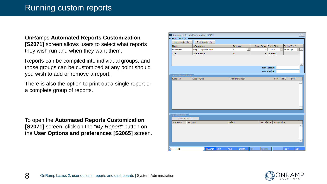OnRamps **Automated Reports Customization [S2071]** screen allows users to select what reports they wish run and when they want them.

Reports can be compiled into individual groups, and those groups can be customized at any point should you wish to add or remove a report.

There is also the option to print out a single report or a complete group of reports.

To open the **Automated Reports Customization [S2071]** screen, click on the "*My Report*" button on the **User Options and preferences [S2065]** screen.

|                         | C2 Automated Reports Customization [S2071] |             |                 |    |              |                           |                                  |              | $\overline{\mathbb{Z}}$   |
|-------------------------|--------------------------------------------|-------------|-----------------|----|--------------|---------------------------|----------------------------------|--------------|---------------------------|
| - Report Groups         |                                            |             |                 |    |              |                           |                                  |              |                           |
| Run Selected List       | Print Selected List                        |             |                 |    |              |                           |                                  |              |                           |
| Name                    | $\triangle$ Description                    |             | Frequency       |    |              | Freq. Factor Sched. Time1 |                                  | Sched. Time2 |                           |
| Production              | Shop floor productivity                    |             | M               | ▼  |              | 5 hr :mi ap               | $\vert \cdot \vert$<br>hr :mi ap |              | $\blacktriangledown$<br>A |
| <b>Sales</b>            | Sales Reports                              |             | W               |    |              | $4 01:00$ PM              |                                  |              |                           |
|                         |                                            |             |                 |    |              |                           |                                  |              |                           |
|                         |                                            |             |                 |    |              |                           |                                  |              |                           |
|                         |                                            |             |                 |    |              |                           |                                  |              |                           |
|                         |                                            |             |                 |    |              | <b>Last Schedule:</b>     |                                  |              |                           |
|                         |                                            |             |                 |    |              | <b>Next Schedule:</b>     |                                  |              |                           |
| Report Group Detail     |                                            |             |                 |    |              |                           |                                  |              |                           |
| Report ID               | <b>Report Name</b>                         |             | -My Description |    |              | Sort                      | Print?                           | Email?       |                           |
|                         |                                            |             |                 |    |              |                           |                                  |              |                           |
|                         |                                            |             |                 |    |              |                           |                                  |              |                           |
|                         |                                            |             |                 |    |              |                           |                                  |              |                           |
|                         |                                            |             |                 |    |              |                           |                                  |              |                           |
|                         |                                            |             |                 |    |              |                           |                                  |              |                           |
|                         |                                            |             |                 |    |              |                           |                                  |              |                           |
|                         |                                            |             |                 |    |              |                           |                                  |              |                           |
|                         |                                            |             |                 |    |              |                           |                                  |              |                           |
| Report Criteria         |                                            |             |                 |    |              |                           |                                  |              |                           |
| Reset to Default        |                                            |             |                 |    |              |                           |                                  |              |                           |
| - Criteria ID           | Description                                |             | Default         |    | Use Default? | Custom Value              |                                  |              |                           |
|                         |                                            |             |                 |    |              |                           |                                  |              |                           |
|                         |                                            |             |                 |    |              |                           |                                  |              |                           |
|                         |                                            |             |                 |    |              |                           |                                  |              |                           |
|                         |                                            |             |                 |    |              |                           |                                  |              |                           |
|                         |                                            |             |                 |    |              |                           |                                  |              |                           |
|                         |                                            |             |                 |    |              |                           |                                  |              |                           |
| F <sub>1</sub> for Help | <b>Browse</b>                              | Edit<br>Add | Delete          | ОK | Cancel       |                           | Print                            | Exit         |                           |

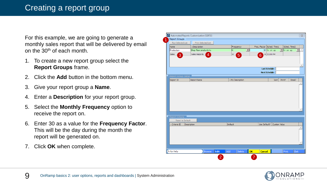For this example, we are going to generate a monthly sales report that will be delivered by email on the 30th of each month.

- 1. To create a new report group select the **Report Groups** frame.
- 2. Click the **Add** button in the bottom menu.
- 3. Give your report group a **Name**.
- 4. Enter a **Description** for your report group.
- 5. Select the **Monthly Frequency** option to receive the report on.
- 6. Enter 30 as a value for the **Frequency Factor**. This will be the day during the month the report will be generated on.
- 7. Click **OK** when complete.



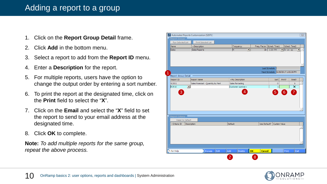#### Adding a report to a group

- 1. Click on the **Report Group Detail** frame.
- 2. Click **Add** in the bottom menu.
- 3. Select a report to add from the **Report ID** menu.
- 4. Enter a **Description** for the report.
- 5. For multiple reports, users have the option to change the output order by entering a sort number.
- 6. To print the report at the designated time, click on the **Print** field to select the "**X**".
- 7. Click on the **Email** and select the "**X**" field to set the report to send to your email address at the designated time.
- 8. Click **OK** to complete.

**Note:** *To add multiple reports for the same group, repeat the above process.*

|                                   | C: Automated Reports Customization [S2071] |                  |              |                            |                                     |             |                         | $\Sigma$             |
|-----------------------------------|--------------------------------------------|------------------|--------------|----------------------------|-------------------------------------|-------------|-------------------------|----------------------|
| Report Groups                     |                                            |                  |              |                            |                                     |             |                         |                      |
| Run Selected List                 | Print Selected List                        |                  |              |                            |                                     |             |                         |                      |
| <b>Name</b>                       | $\triangle$ Description                    | Frequency        |              | Freq. Factor Sched. Time 1 |                                     |             | Sched. Time2            |                      |
| <b>Sales</b>                      | Sales Reports                              | M                | ┳            | 30 <sub>1</sub>            | 1:00 PM                             | Thr mi ap   |                         | $\blacktriangledown$ |
|                                   |                                            |                  |              |                            |                                     |             |                         |                      |
|                                   |                                            |                  |              |                            |                                     |             |                         |                      |
|                                   |                                            |                  |              |                            |                                     |             |                         |                      |
|                                   |                                            |                  |              |                            | Last Schedule:                      |             |                         |                      |
|                                   |                                            |                  |              |                            | Next Schedule: 6/30/2017 1:00:00 PM |             |                         |                      |
| Report Group Detail               |                                            |                  |              |                            |                                     |             |                         |                      |
| Report ID                         | <b>Report Name</b>                         | -My Description  |              |                            | Sort                                | Print?      | Email?                  |                      |
| R3551                             | Sales Forecast - Quantity by Part          | Sales forcasting |              |                            | $\mathbf 0$                         |             | X                       | Á                    |
| $\vert \mathbf{v} \vert$<br>R3510 |                                            | Customer summary |              |                            | $\mathbf{1}$                        |             | $\overline{\mathsf{x}}$ |                      |
| $\mathbf{3}$                      |                                            |                  | ♦            |                            | $\overline{5}$                      | $6^{\circ}$ | $\overline{7}$          |                      |
|                                   |                                            |                  |              |                            |                                     |             |                         |                      |
|                                   |                                            |                  |              |                            |                                     |             |                         |                      |
|                                   |                                            |                  |              |                            |                                     |             |                         |                      |
|                                   |                                            |                  |              |                            |                                     |             |                         |                      |
|                                   |                                            |                  |              |                            |                                     |             |                         |                      |
|                                   |                                            |                  |              |                            |                                     |             |                         |                      |
| Report Criteria                   |                                            |                  |              |                            |                                     |             |                         |                      |
| Reset to Default<br>- Criteria ID | Description                                | Default          |              |                            | Use Default? Custom Value           |             |                         |                      |
|                                   |                                            |                  |              |                            |                                     |             |                         |                      |
|                                   |                                            |                  |              |                            |                                     |             |                         |                      |
|                                   |                                            |                  |              |                            |                                     |             |                         |                      |
|                                   |                                            |                  |              |                            |                                     |             |                         |                      |
|                                   |                                            |                  |              |                            |                                     |             |                         |                      |
|                                   |                                            |                  |              |                            |                                     |             |                         |                      |
| Fi for Help                       | <b>Browse</b>                              | Edit<br>Add      | OK<br>Delete | <b>Cancel</b>              |                                     | Print       |                         | Exit                 |

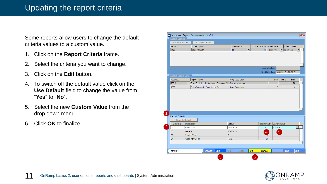### Updating the report criteria

Some reports allow users to change the default criteria values to a custom value.

- 1. Click on the **Report Criteria** frame.
- 2. Select the criteria you want to change.
- 3. Click on the **Edit** button.
- 4. To switch off the default value click on the **Use Default** field to change the value from "**Yes**" to "**No**".
- 5. Select the new **Custom Value** from the drop down menu.
- 6. Click **OK** to finalize.

| <b>Report Groups</b><br>Run Selected List<br>Print Selected List<br>Sched. Time 1<br>Sched. Time2<br>Name<br>$\triangle$ Description<br>Frequency<br>Freq. Factor<br>$\overline{M}$<br>▼<br>1:00 PM<br>▼ hr :mi ap<br><b>Sales</b><br>Sales Reports<br>30<br>Last Schedule:<br>Next Schedule: 6/30/2017 1:00:00 PM<br><b>Report Group Detail</b><br>Report ID<br>Sort<br>Print?<br><b>Report Name</b><br>-My Description<br>Email?<br>R3510<br>Sales Subledger by Customer Summary (Hi: Customer summary<br>1<br>Sales Forecast - Quantity by Part<br>Sales forcasting<br>R3551<br>$\mathbf 0$<br>Report Criteria<br>Reset to Default<br>Default<br><b>Custom Value</b><br>Use Default?<br>- Criteria ID<br>Description<br>2<br>$<$ SITE $>$<br>C1<br>Date From:<br><today><br/>No<br/>C2<br/>Date To:<br/><math>&lt;</math>TODAY<math>&gt;</math><br/>5<br/>LAY<br/>C<sub>3</sub><br/>s<br/>Invoice Type:<br/>C<sub>4</sub><br/>Customer Group:<br/><math>&lt;</math>ALL<math>&gt;</math><br/>Yes</today> |                                                |
|------------------------------------------------------------------------------------------------------------------------------------------------------------------------------------------------------------------------------------------------------------------------------------------------------------------------------------------------------------------------------------------------------------------------------------------------------------------------------------------------------------------------------------------------------------------------------------------------------------------------------------------------------------------------------------------------------------------------------------------------------------------------------------------------------------------------------------------------------------------------------------------------------------------------------------------------------------------------------------------------------------|------------------------------------------------|
|                                                                                                                                                                                                                                                                                                                                                                                                                                                                                                                                                                                                                                                                                                                                                                                                                                                                                                                                                                                                            |                                                |
|                                                                                                                                                                                                                                                                                                                                                                                                                                                                                                                                                                                                                                                                                                                                                                                                                                                                                                                                                                                                            |                                                |
|                                                                                                                                                                                                                                                                                                                                                                                                                                                                                                                                                                                                                                                                                                                                                                                                                                                                                                                                                                                                            |                                                |
|                                                                                                                                                                                                                                                                                                                                                                                                                                                                                                                                                                                                                                                                                                                                                                                                                                                                                                                                                                                                            | $\left\Vert \mathbf{v}\right\Vert$ $\triangle$ |
|                                                                                                                                                                                                                                                                                                                                                                                                                                                                                                                                                                                                                                                                                                                                                                                                                                                                                                                                                                                                            |                                                |
|                                                                                                                                                                                                                                                                                                                                                                                                                                                                                                                                                                                                                                                                                                                                                                                                                                                                                                                                                                                                            |                                                |
|                                                                                                                                                                                                                                                                                                                                                                                                                                                                                                                                                                                                                                                                                                                                                                                                                                                                                                                                                                                                            |                                                |
|                                                                                                                                                                                                                                                                                                                                                                                                                                                                                                                                                                                                                                                                                                                                                                                                                                                                                                                                                                                                            | $\times$                                       |
|                                                                                                                                                                                                                                                                                                                                                                                                                                                                                                                                                                                                                                                                                                                                                                                                                                                                                                                                                                                                            | X.                                             |
|                                                                                                                                                                                                                                                                                                                                                                                                                                                                                                                                                                                                                                                                                                                                                                                                                                                                                                                                                                                                            |                                                |
|                                                                                                                                                                                                                                                                                                                                                                                                                                                                                                                                                                                                                                                                                                                                                                                                                                                                                                                                                                                                            |                                                |
|                                                                                                                                                                                                                                                                                                                                                                                                                                                                                                                                                                                                                                                                                                                                                                                                                                                                                                                                                                                                            |                                                |
|                                                                                                                                                                                                                                                                                                                                                                                                                                                                                                                                                                                                                                                                                                                                                                                                                                                                                                                                                                                                            |                                                |
|                                                                                                                                                                                                                                                                                                                                                                                                                                                                                                                                                                                                                                                                                                                                                                                                                                                                                                                                                                                                            |                                                |
|                                                                                                                                                                                                                                                                                                                                                                                                                                                                                                                                                                                                                                                                                                                                                                                                                                                                                                                                                                                                            | $\blacktriangledown$<br>$\Delta$               |
|                                                                                                                                                                                                                                                                                                                                                                                                                                                                                                                                                                                                                                                                                                                                                                                                                                                                                                                                                                                                            |                                                |
|                                                                                                                                                                                                                                                                                                                                                                                                                                                                                                                                                                                                                                                                                                                                                                                                                                                                                                                                                                                                            |                                                |
|                                                                                                                                                                                                                                                                                                                                                                                                                                                                                                                                                                                                                                                                                                                                                                                                                                                                                                                                                                                                            |                                                |
|                                                                                                                                                                                                                                                                                                                                                                                                                                                                                                                                                                                                                                                                                                                                                                                                                                                                                                                                                                                                            |                                                |
| Edit<br>Add<br>OK<br>Print<br>F1 for Help<br><b>Browse</b><br><b>Cancel</b><br>Delete                                                                                                                                                                                                                                                                                                                                                                                                                                                                                                                                                                                                                                                                                                                                                                                                                                                                                                                      |                                                |

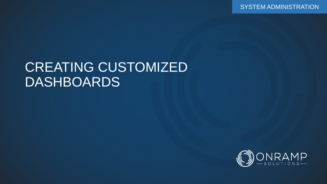SYSTEM ADMINISTRATION

## CREATING CUSTOMIZED DASHBOARDS

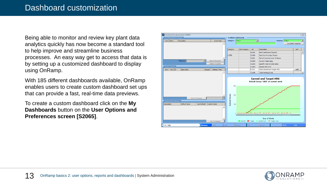Being able to monitor and review key plant data analytics quickly has now become a standard tool to help improve and streamline business processes. An easy way get to access that data is by setting up a customized dashboard to display using OnRamp.

With 185 different dashboards available, OnRamp enables users to create custom dashboard set ups that can provide a fast, real-time data previews.

To create a custom dashboard click on the **My Dashboards** button on the **User Options and Preferences screen [S2065]**.



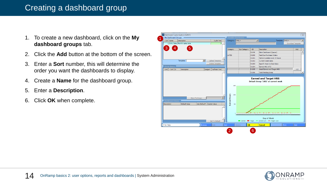#### Creating a dashboard group

- 1. To create a new dashboard, click on the **My dashboard groups** tab.
- 2. Click the **Add** button at the bottom of the screen.
- 3. Enter a **Sort** number, this will determine the order you want the dashboards to display.
- 4. Create a **Name** for the dashboard group.
- 5. Enter a **Description**.
- 6. Click **OK** when complete.



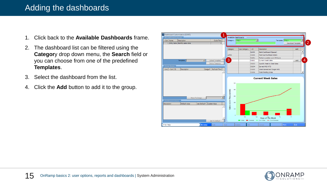#### Adding the dashboards

- 1. Click back to the **Available Dashboards** frame.
- 2. The dashboard list can be filtered using the **Categor**y drop down menu, the **Search** field or you can choose from one of the predefined **Templates**.
- 3. Select the dashboard from the list.
- 4. Click the **Add** button to add it to the group.



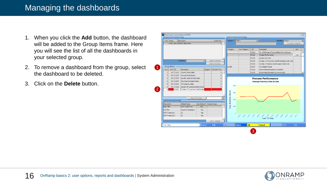#### Managing the dashboards

- 1. When you click the **Add** button, the dashboard will be added to the Group Items frame. Here you will see the list of all the dashboards in your selected group.
- 2. To remove a dashboard from the group, select the dashboard to be deleted.
- 3. Click on the **Delete** button.



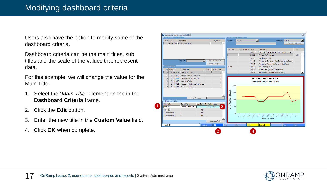Users also have the option to modify some of the dashboard criteria.

Dashboard criteria can be the main titles, sub titles and the scale of the values that represent data.

For this example, we will change the value for the Main Title.

- 1. Select the "*Main Title*" element on the in the **Dashboard Criteria** frame.
- 2. Click the **Edit** button.
- 3. Enter the new title in the **Custom Value** field.
- 4. Click **OK** when complete.